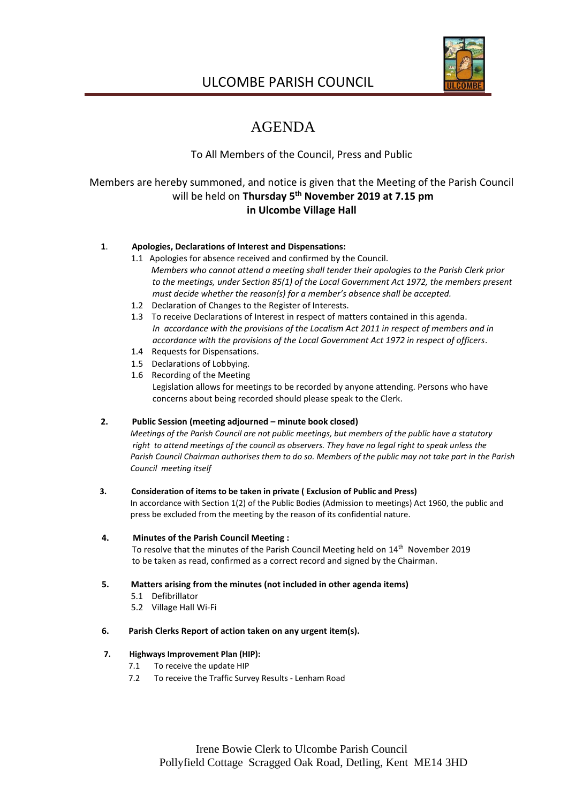

# ULCOMBE PARISH COUNCIL

# AGENDA

# To All Members of the Council, Press and Public

# Members are hereby summoned, and notice is given that the Meeting of the Parish Council will be held on **Thursday 5 th November 2019 at 7.15 pm in Ulcombe Village Hall**

# **1**. **Apologies, Declarations of Interest and Dispensations:**

- 1.1 Apologies for absence received and confirmed by the Council. *Members who cannot attend a meeting shall tender their apologies to the Parish Clerk prior to the meetings, under Section 85(1) of the Local Government Act 1972, the members present must decide whether the reason(s) for a member's absence shall be accepted.*
- 1.2 Declaration of Changes to the Register of Interests.
- 1.3 To receive Declarations of Interest in respect of matters contained in this agenda. *In accordance with the provisions of the Localism Act 2011 in respect of members and in accordance with the provisions of the Local Government Act 1972 in respect of officers.*
- 1.4 Requests for Dispensations.
- 1.5 Declarations of Lobbying.
- 1.6 Recording of the Meeting

Legislation allows for meetings to be recorded by anyone attending. Persons who have concerns about being recorded should please speak to the Clerk.

# **2. Public Session (meeting adjourned – minute book closed)**

 *Meetings of the Parish Council are not public meetings, but members of the public have a statutory right to attend meetings of the council as observers. They have no legal right to speak unless the Parish Council Chairman authorises them to do so. Members of the public may not take part in the Parish Council meeting itself*

# **3. Consideration of items to be taken in private ( Exclusion of Public and Press)**

 In accordance with Section 1(2) of the Public Bodies (Admission to meetings) Act 1960, the public and press be excluded from the meeting by the reason of its confidential nature.

# **4. Minutes of the Parish Council Meeting :**

To resolve that the minutes of the Parish Council Meeting held on 14<sup>th</sup> November 2019 to be taken as read, confirmed as a correct record and signed by the Chairman.

# **5. Matters arising from the minutes (not included in other agenda items)**

- 5.1 Defibrillator
	- 5.2 Village Hall Wi-Fi

# **6. Parish Clerks Report of action taken on any urgent item(s).**

# **7. Highways Improvement Plan (HIP):**

- 7.1 To receive the update HIP
- 7.2 To receive the Traffic Survey Results Lenham Road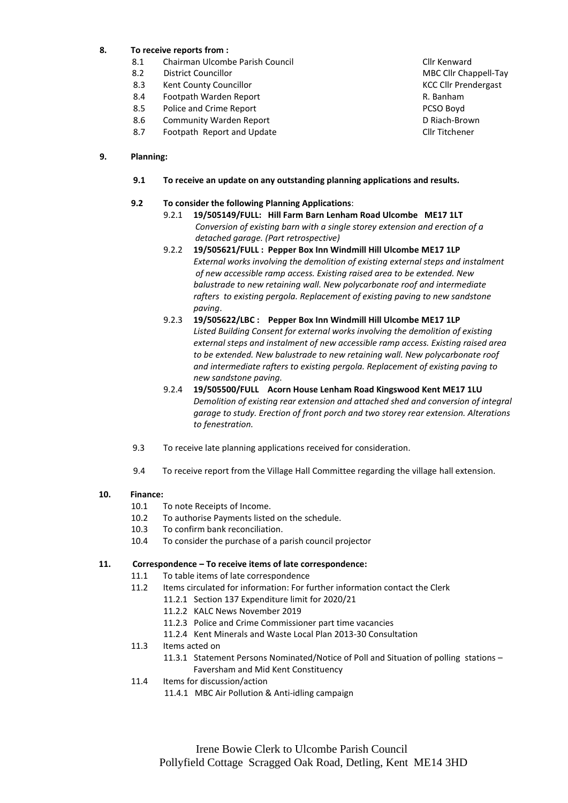# **8. To receive reports from :**

- 8.1 Chairman Ulcombe Parish Council Club Council Clir Kenward
- 8.2 District Councillor MBC Clif Chappell-Tay
- 8.3 Kent County Councillor Communication County Councillor County Councillor County Council County Council County Council County Council County Council County Council Council Council Council Council Council Council Council
- 8.4 Footpath Warden Report **Report Server Access 1988** R. Banham<br>8.5 Police and Crime Report **Report Server Access 1988**
- 8.5 Police and Crime Report
- 8.6 Community Warden Report **Community D** Riach-Brown
- 8.7 Footpath Report and Update Clin Titchener

#### **9. Planning:**

 **9.1 To receive an update on any outstanding planning applications and results.**

# **9.2 To consider the following Planning Applications**:

- 9.2.1 **19/505149/FULL: Hill Farm Barn Lenham Road Ulcombe ME17 1LT**  *Conversion of existing barn with a single storey extension and erection of a detached garage. (Part retrospective)*
- 9.2.2 **19/505621/FULL : Pepper Box Inn Windmill Hill Ulcombe ME17 1LP**  *External works involving the demolition of existing external steps and instalment of new accessible ramp access. Existing raised area to be extended. New balustrade to new retaining wall. New polycarbonate roof and intermediate rafters to existing pergola. Replacement of existing paving to new sandstone paving*.
- 9.2.3 **19/505622/LBC : Pepper Box Inn Windmill Hill Ulcombe ME17 1LP** *Listed Building Consent for external works involving the demolition of existing external steps and instalment of new accessible ramp access. Existing raised area to be extended. New balustrade to new retaining wall. New polycarbonate roof and intermediate rafters to existing pergola. Replacement of existing paving to new sandstone paving.*
- 9.2.4 **19/505500/FULL Acorn House Lenham Road Kingswood Kent ME17 1LU** *Demolition of existing rear extension and attached shed and conversion of integral garage to study. Erection of front porch and two storey rear extension. Alterations to fenestration.*
- 9.3 To receive late planning applications received for consideration.
- 9.4 To receive report from the Village Hall Committee regarding the village hall extension.

#### **10. Finance:**

- 10.1 To note Receipts of Income.
- 10.2 To authorise Payments listed on the schedule.
- 10.3 To confirm bank reconciliation.
- 10.4 To consider the purchase of a parish council projector

#### **11. Correspondence – To receive items of late correspondence:**

- 11.1 To table items of late correspondence
- 11.2 Items circulated for information: For further information contact the Clerk
	- 11.2.1 Section 137 Expenditure limit for 2020/21
	- 11.2.2 KALC News November 2019
	- 11.2.3 Police and Crime Commissioner part time vacancies
	- 11.2.4 Kent Minerals and Waste Local Plan 2013-30 Consultation
- 11.3 Items acted on
	- 11.3.1 Statement Persons Nominated/Notice of Poll and Situation of polling stations Faversham and Mid Kent Constituency
- 11.4 Items for discussion/action
	- 11.4.1 MBC Air Pollution & Anti-idling campaign